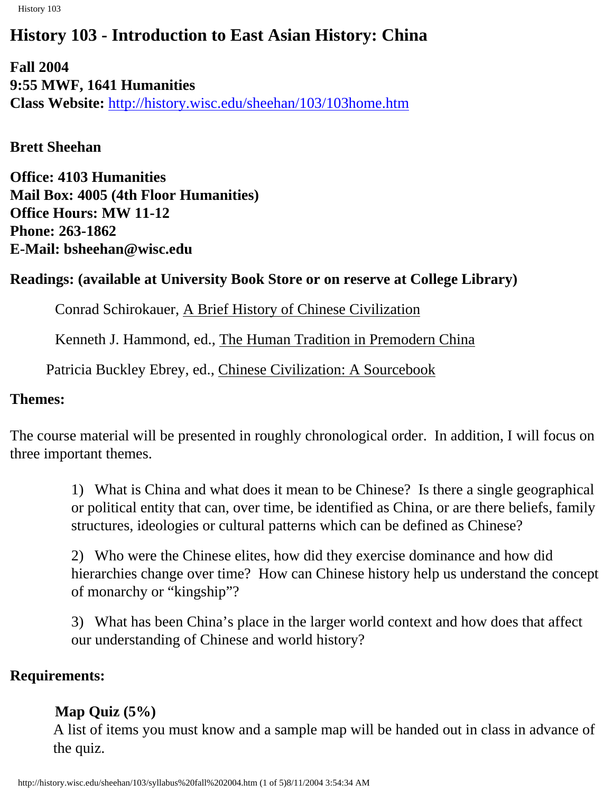History 103

# **History 103 - Introduction to East Asian History: China**

**Fall 2004 9:55 MWF, 1641 Humanities Class Website:** <http://history.wisc.edu/sheehan/103/103home.htm>

**Brett Sheehan**

**Office: 4103 Humanities Mail Box: 4005 (4th Floor Humanities) Office Hours: MW 11-12 Phone: 263-1862 E-Mail: bsheehan@wisc.edu**

# **Readings: (available at University Book Store or on reserve at College Library)**

Conrad Schirokauer, A Brief History of Chinese Civilization

Kenneth J. Hammond, ed., The Human Tradition in Premodern China

Patricia Buckley Ebrey, ed., Chinese Civilization: A Sourcebook

## **Themes:**

The course material will be presented in roughly chronological order. In addition, I will focus on three important themes.

> 1) What is China and what does it mean to be Chinese? Is there a single geographical or political entity that can, over time, be identified as China, or are there beliefs, family structures, ideologies or cultural patterns which can be defined as Chinese?

> 2) Who were the Chinese elites, how did they exercise dominance and how did hierarchies change over time? How can Chinese history help us understand the concept of monarchy or "kingship"?

3) What has been China's place in the larger world context and how does that affect our understanding of Chinese and world history?

# **Requirements:**

# **Map Quiz (5%)**

A list of items you must know and a sample map will be handed out in class in advance of the quiz.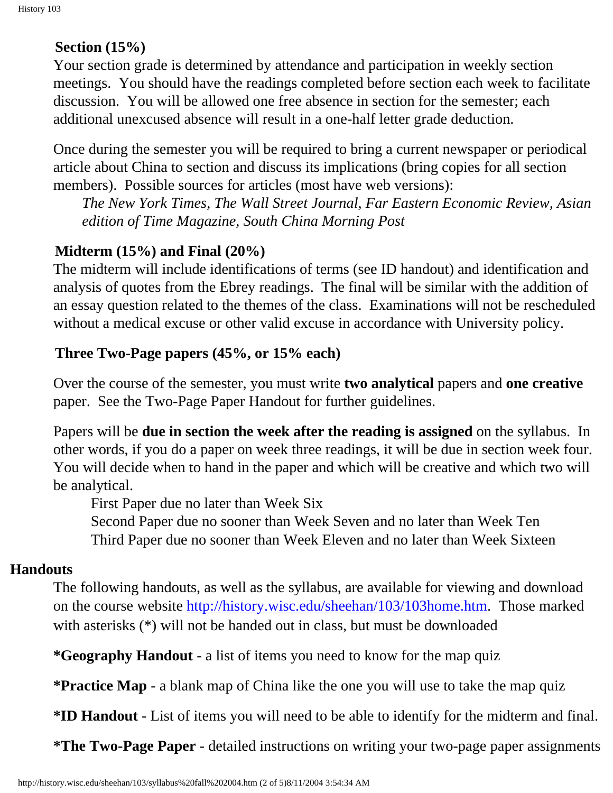# **Section (15%)**

Your section grade is determined by attendance and participation in weekly section meetings. You should have the readings completed before section each week to facilitate discussion. You will be allowed one free absence in section for the semester; each additional unexcused absence will result in a one-half letter grade deduction.

Once during the semester you will be required to bring a current newspaper or periodical article about China to section and discuss its implications (bring copies for all section members). Possible sources for articles (most have web versions):

*The New York Times, The Wall Street Journal, Far Eastern Economic Review, Asian edition of Time Magazine, South China Morning Post*

# **Midterm (15%) and Final (20%)**

The midterm will include identifications of terms (see ID handout) and identification and analysis of quotes from the Ebrey readings. The final will be similar with the addition of an essay question related to the themes of the class. Examinations will not be rescheduled without a medical excuse or other valid excuse in accordance with University policy.

### **Three Two-Page papers (45%, or 15% each)**

Over the course of the semester, you must write **two analytical** papers and **one creative** paper. See the Two-Page Paper Handout for further guidelines.

Papers will be **due in section the week after the reading is assigned** on the syllabus. In other words, if you do a paper on week three readings, it will be due in section week four. You will decide when to hand in the paper and which will be creative and which two will be analytical.

First Paper due no later than Week Six

 Second Paper due no sooner than Week Seven and no later than Week Ten Third Paper due no sooner than Week Eleven and no later than Week Sixteen

# **Handouts**

The following handouts, as well as the syllabus, are available for viewing and download on the course website [http://history.wisc.edu/sheehan/103/103home.htm.](http://history.wisc.edu/sheehan/103/103home.htm) Those marked with asterisks (\*) will not be handed out in class, but must be downloaded

**\*Geography Handout** - a list of items you need to know for the map quiz

**\*Practice Map** - a blank map of China like the one you will use to take the map quiz

**\*ID Handout** - List of items you will need to be able to identify for the midterm and final.

**\*The Two-Page Paper** - detailed instructions on writing your two-page paper assignments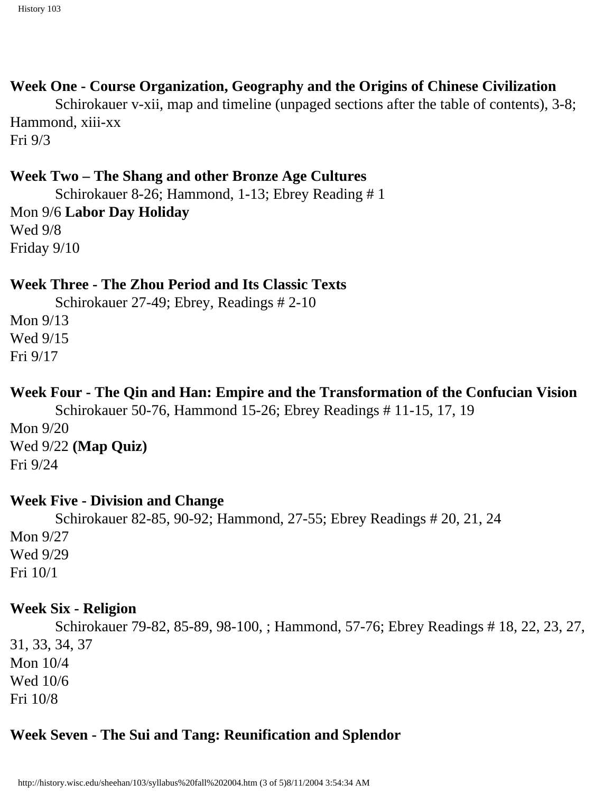# **Week One - Course Organization, Geography and the Origins of Chinese Civilization**

Schirokauer v-xii, map and timeline (unpaged sections after the table of contents), 3-8; Hammond, xiii-xx Fri 9/3

# **Week Two – The Shang and other Bronze Age Cultures**

 Schirokauer 8-26; Hammond, 1-13; Ebrey Reading # 1 Mon 9/6 **Labor Day Holiday** Wed 9/8 Friday 9/10

### **Week Three - The Zhou Period and Its Classic Texts**

Schirokauer 27-49; Ebrey, Readings # 2-10

Mon 9/13 Wed 9/15 Fri 9/17

### **Week Four - The Qin and Han: Empire and the Transformation of the Confucian Vision**

 Schirokauer 50-76, Hammond 15-26; Ebrey Readings # 11-15, 17, 19 Mon 9/20 Wed 9/22 **(Map Quiz)** Fri 9/24

### **Week Five - Division and Change**

 Schirokauer 82-85, 90-92; Hammond, 27-55; Ebrey Readings # 20, 21, 24 Mon 9/27 Wed 9/29 Fri 10/1

#### **Week Six - Religion**

 Schirokauer 79-82, 85-89, 98-100, ; Hammond, 57-76; Ebrey Readings # 18, 22, 23, 27, 31, 33, 34, 37 Mon 10/4 Wed 10/6 Fri 10/8

# **Week Seven - The Sui and Tang: Reunification and Splendor**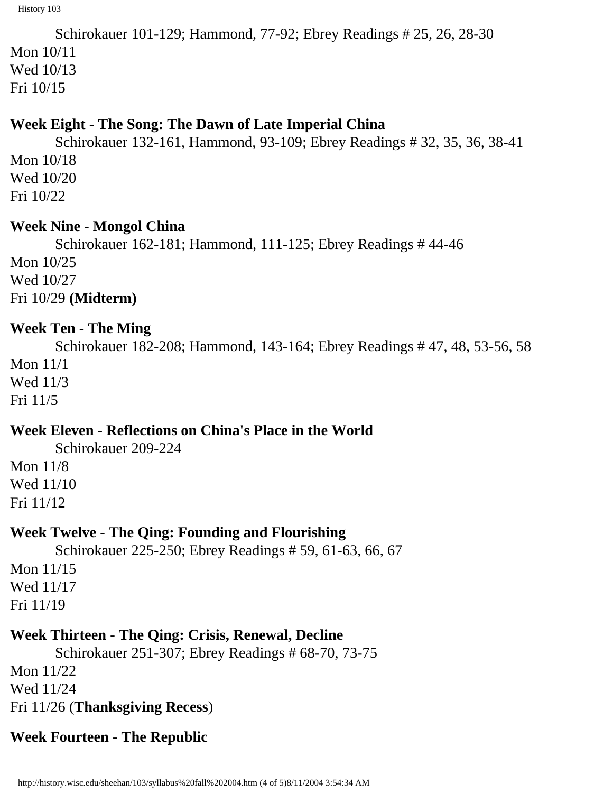```
 Schirokauer 101-129; Hammond, 77-92; Ebrey Readings # 25, 26, 28-30
Mon 10/11
Wed 10/13
Fri 10/15
```
#### **Week Eight - The Song: The Dawn of Late Imperial China**

 Schirokauer 132-161, Hammond, 93-109; Ebrey Readings # 32, 35, 36, 38-41 Mon 10/18 Wed 10/20 Fri 10/22

#### **Week Nine - Mongol China**

 Schirokauer 162-181; Hammond, 111-125; Ebrey Readings # 44-46 Mon 10/25 Wed 10/27 Fri 10/29 **(Midterm)**

### **Week Ten - The Ming**

 Schirokauer 182-208; Hammond, 143-164; Ebrey Readings # 47, 48, 53-56, 58 Mon 11/1 Wed 11/3 Fri 11/5

# **Week Eleven - Reflections on China's Place in the World**

Schirokauer 209-224

Mon 11/8 Wed 11/10 Fri 11/12

### **Week Twelve - The Qing: Founding and Flourishing**

 Schirokauer 225-250; Ebrey Readings # 59, 61-63, 66, 67 Mon 11/15 Wed 11/17 Fri 11/19

# **Week Thirteen - The Qing: Crisis, Renewal, Decline**

 Schirokauer 251-307; Ebrey Readings # 68-70, 73-75 Mon 11/22 Wed 11/24 Fri 11/26 (**Thanksgiving Recess**)

# **Week Fourteen - The Republic**